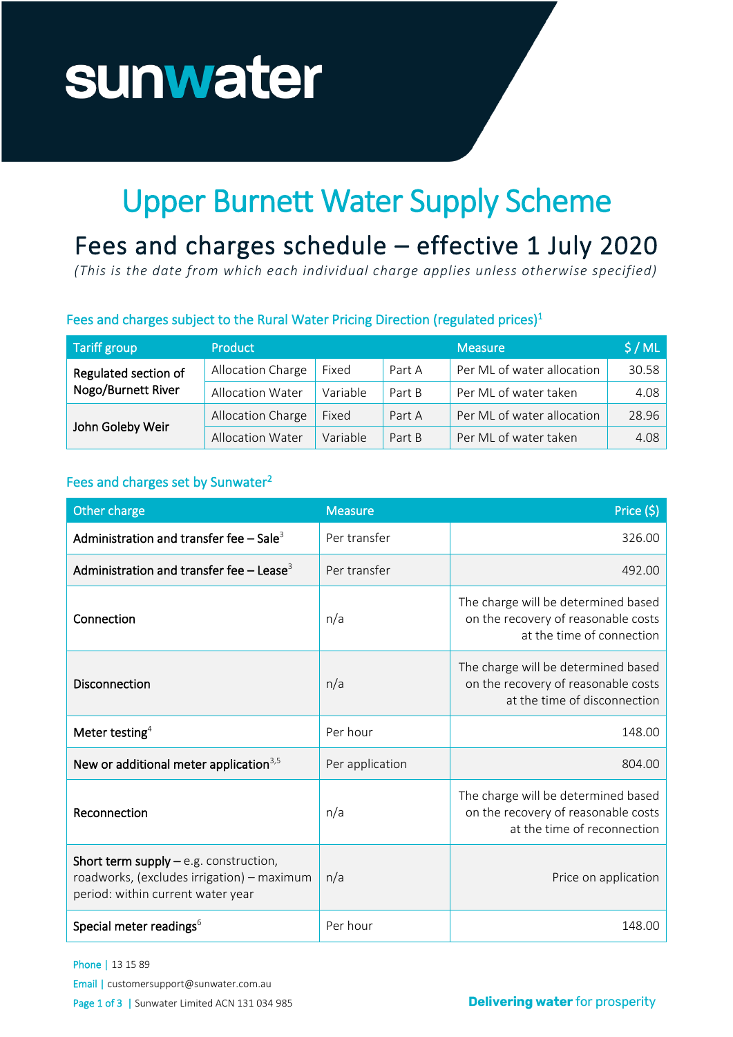# sunwater

## Upper Burnett Water Supply Scheme

### Fees and charges schedule - effective 1 July 2020

*(This is the date from which each individual charge applies unless otherwise specified)*

#### Fees and charges subject to the Rural Water Pricing Direction (regulated prices)<sup>1</sup>

| <b>Tariff group</b>                        | <b>Product</b>          |          |        | <b>Measure</b>             | \$/ML |
|--------------------------------------------|-------------------------|----------|--------|----------------------------|-------|
| Regulated section of<br>Nogo/Burnett River | Allocation Charge       | Fixed    | Part A | Per ML of water allocation | 30.58 |
|                                            | Allocation Water        | Variable | Part B | Per ML of water taken      | 4.08  |
| John Goleby Weir                           | Allocation Charge       | Fixed    | Part A | Per ML of water allocation | 28.96 |
|                                            | <b>Allocation Water</b> | Variable | Part B | Per ML of water taken      | 4.08  |

#### Fees and charges set by Sunwater<sup>2</sup>

| Other charge                                                                                                               | <b>Measure</b>  | Price (\$)                                                                                                 |
|----------------------------------------------------------------------------------------------------------------------------|-----------------|------------------------------------------------------------------------------------------------------------|
| Administration and transfer fee $-$ Sale <sup>3</sup>                                                                      | Per transfer    | 326.00                                                                                                     |
| Administration and transfer fee $-$ Lease <sup>3</sup>                                                                     | Per transfer    | 492.00                                                                                                     |
| Connection                                                                                                                 | n/a             | The charge will be determined based<br>on the recovery of reasonable costs<br>at the time of connection    |
| <b>Disconnection</b>                                                                                                       | n/a             | The charge will be determined based<br>on the recovery of reasonable costs<br>at the time of disconnection |
| Meter testing <sup>4</sup>                                                                                                 | Per hour        | 148.00                                                                                                     |
| New or additional meter application <sup>3,5</sup>                                                                         | Per application | 804.00                                                                                                     |
| Reconnection                                                                                                               | n/a             | The charge will be determined based<br>on the recovery of reasonable costs<br>at the time of reconnection  |
| Short term supply $-e.g.$ construction,<br>roadworks, (excludes irrigation) - maximum<br>period: within current water year | n/a             | Price on application                                                                                       |
| Special meter readings <sup>6</sup>                                                                                        | Per hour        | 148.00                                                                                                     |

Phone | 13 15 89

Email | customersupport@sunwater.com.au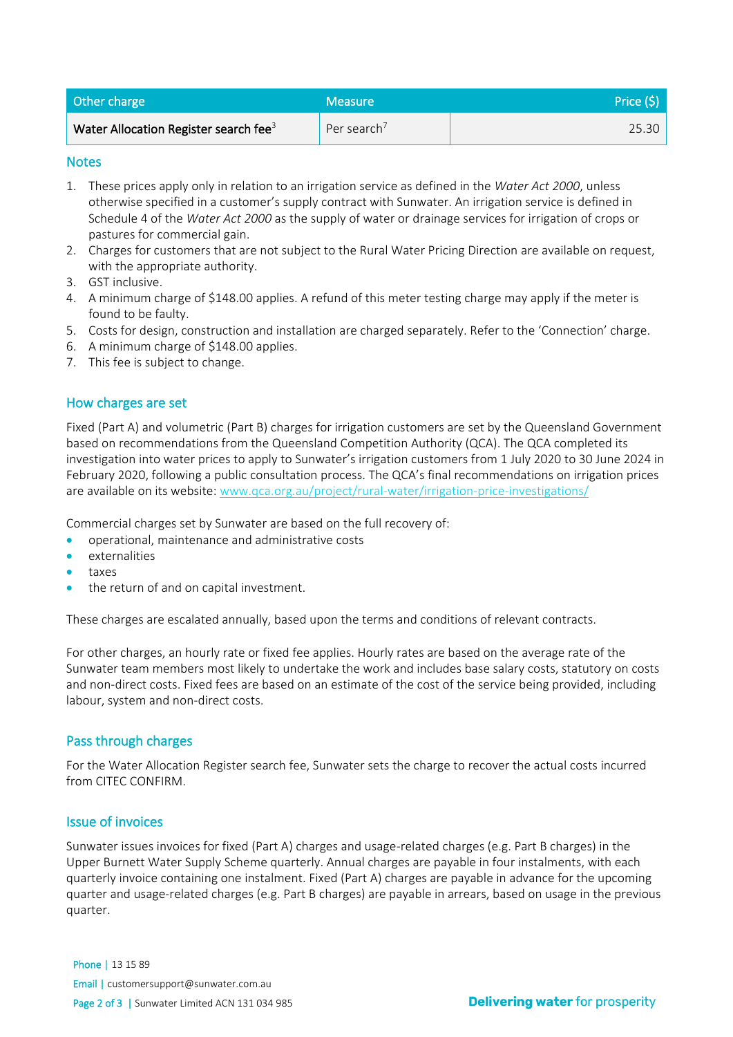| Other charge                                      | <b>Measure</b>          | Price (\$) |
|---------------------------------------------------|-------------------------|------------|
| Water Allocation Register search fee <sup>3</sup> | Per search <sup>7</sup> | 25.30      |

#### **Notes**

- 1. These prices apply only in relation to an irrigation service as defined in the *Water Act 2000*, unless otherwise specified in a customer's supply contract with Sunwater. An irrigation service is defined in Schedule 4 of the *Water Act 2000* as the supply of water or drainage services for irrigation of crops or pastures for commercial gain.
- 2. Charges for customers that are not subject to the Rural Water Pricing Direction are available on request, with the appropriate authority.
- 3. GST inclusive.
- 4. A minimum charge of \$148.00 applies. A refund of this meter testing charge may apply if the meter is found to be faulty.
- 5. Costs for design, construction and installation are charged separately. Refer to the 'Connection' charge.
- 6. A minimum charge of \$148.00 applies.
- 7. This fee is subject to change.

#### How charges are set

Fixed (Part A) and volumetric (Part B) charges for irrigation customers are set by the Queensland Government based on recommendations from the Queensland Competition Authority (QCA). The QCA completed its investigation into water prices to apply to Sunwater's irrigation customers from 1 July 2020 to 30 June 2024 in February 2020, following a public consultation process. The QCA's final recommendations on irrigation prices are available on its website[: www.qca.org.au/project/rural-water/irrigation-price-investigations/](https://www.qca.org.au/project/rural-water/irrigation-price-investigations/)

Commercial charges set by Sunwater are based on the full recovery of:

- operational, maintenance and administrative costs
- externalities
- taxes
- the return of and on capital investment.

These charges are escalated annually, based upon the terms and conditions of relevant contracts.

For other charges, an hourly rate or fixed fee applies. Hourly rates are based on the average rate of the Sunwater team members most likely to undertake the work and includes base salary costs, statutory on costs and non-direct costs. Fixed fees are based on an estimate of the cost of the service being provided, including labour, system and non-direct costs.

#### Pass through charges

For the Water Allocation Register search fee, Sunwater sets the charge to recover the actual costs incurred from CITEC CONFIRM.

#### Issue of invoices

Sunwater issues invoices for fixed (Part A) charges and usage-related charges (e.g. Part B charges) in the Upper Burnett Water Supply Scheme quarterly. Annual charges are payable in four instalments, with each quarterly invoice containing one instalment. Fixed (Part A) charges are payable in advance for the upcoming quarter and usage-related charges (e.g. Part B charges) are payable in arrears, based on usage in the previous quarter.